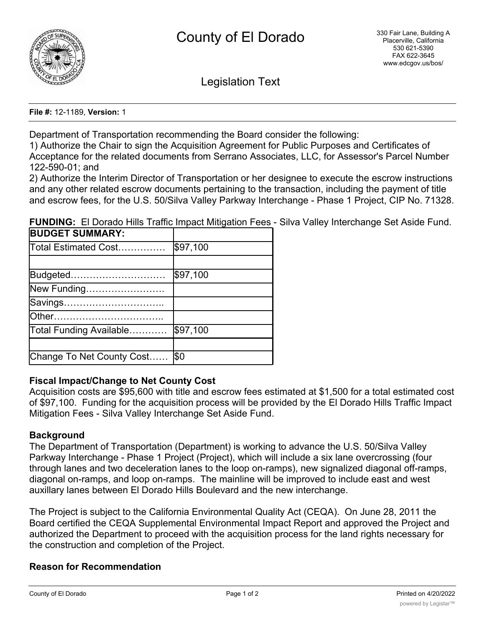

Legislation Text

**File #:** 12-1189, **Version:** 1

Department of Transportation recommending the Board consider the following:

1) Authorize the Chair to sign the Acquisition Agreement for Public Purposes and Certificates of Acceptance for the related documents from Serrano Associates, LLC, for Assessor's Parcel Number 122-590-01; and

2) Authorize the Interim Director of Transportation or her designee to execute the escrow instructions and any other related escrow documents pertaining to the transaction, including the payment of title and escrow fees, for the U.S. 50/Silva Valley Parkway Interchange - Phase 1 Project, CIP No. 71328.

**FUNDING:** El Dorado Hills Traffic Impact Mitigation Fees - Silva Valley Interchange Set Aside Fund.

| \$97,100 |
|----------|
|          |
| \$97,100 |
|          |
|          |
|          |
| \$97,100 |
|          |
| Ι\$Ο     |
|          |

# **Fiscal Impact/Change to Net County Cost**

Acquisition costs are \$95,600 with title and escrow fees estimated at \$1,500 for a total estimated cost of \$97,100. Funding for the acquisition process will be provided by the El Dorado Hills Traffic Impact Mitigation Fees - Silva Valley Interchange Set Aside Fund.

# **Background**

The Department of Transportation (Department) is working to advance the U.S. 50/Silva Valley Parkway Interchange - Phase 1 Project (Project), which will include a six lane overcrossing (four through lanes and two deceleration lanes to the loop on-ramps), new signalized diagonal off-ramps, diagonal on-ramps, and loop on-ramps. The mainline will be improved to include east and west auxillary lanes between El Dorado Hills Boulevard and the new interchange.

The Project is subject to the California Environmental Quality Act (CEQA). On June 28, 2011 the Board certified the CEQA Supplemental Environmental Impact Report and approved the Project and authorized the Department to proceed with the acquisition process for the land rights necessary for the construction and completion of the Project.

# **Reason for Recommendation**